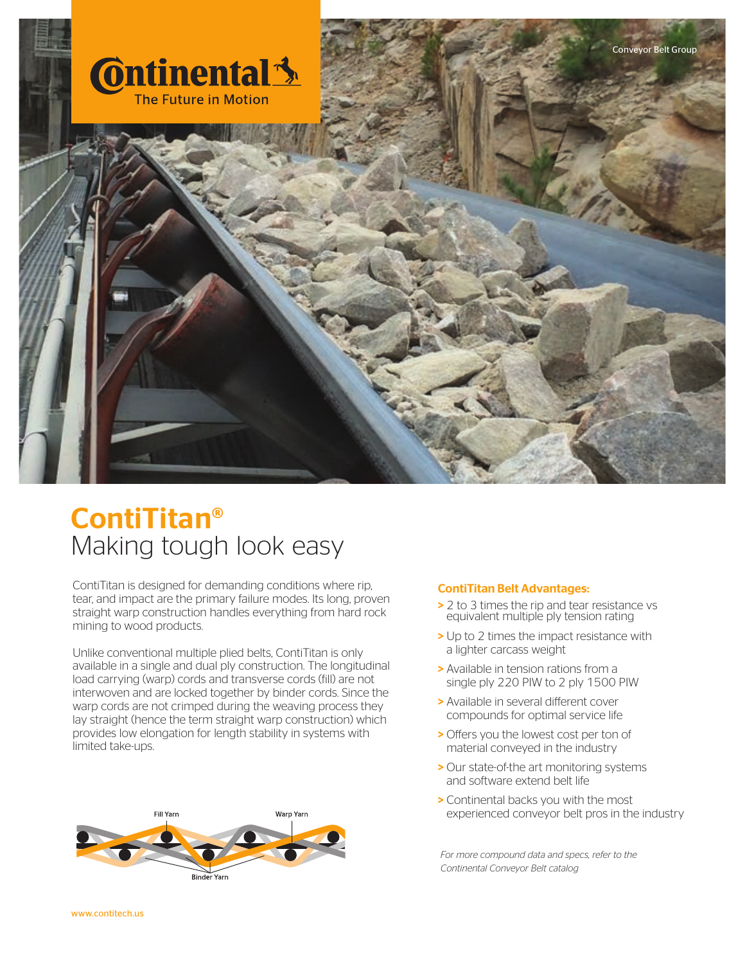

## ContiTitan® Making tough look easy

ContiTitan is designed for demanding conditions where rip, tear, and impact are the primary failure modes. Its long, proven straight warp construction handles everything from hard rock mining to wood products.

Unlike conventional multiple plied belts, ContiTitan is only available in a single and dual ply construction. The longitudinal load carrying (warp) cords and transverse cords (fill) are not interwoven and are locked together by binder cords. Since the warp cords are not crimped during the weaving process they lay straight (hence the term straight warp construction) which provides low elongation for length stability in systems with limited take-ups.



#### ContiTitan Belt Advantages:

- > 2 to 3 times the rip and tear resistance vs equivalent multiple ply tension rating
- > Up to 2 times the impact resistance with a lighter carcass weight
- > Available in tension rations from a single ply 220 PIW to 2 ply 1500 PIW
- > Available in several different cover compounds for optimal service life
- > Offers you the lowest cost per ton of material conveyed in the industry
- > Our state-of-the art monitoring systems and software extend belt life
- > Continental backs you with the most experienced conveyor belt pros in the industry

*For more compound data and specs, refer to the Continental Conveyor Belt catalog*